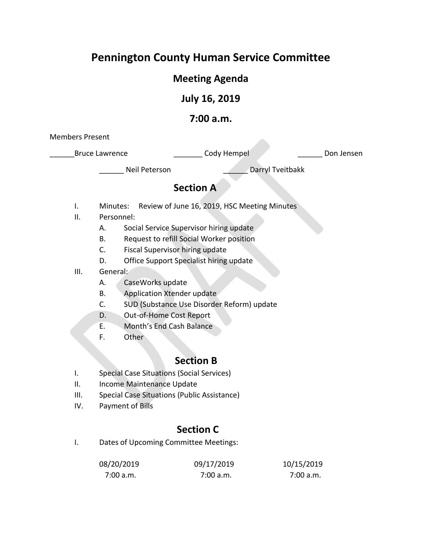# **Pennington County Human Service Committee**

# **Meeting Agenda**

### **July 16, 2019**

### **7:00 a.m.**

Members Present

Bruce Lawrence **Lawrence Lawrence Lawrence Lawrence Lawrence Lawrence Lawrence Lawrence Lawrence Lawrence Lawrence Lawrence Lawrence Lawrence Lawrence Lawrence Lawrence Lawrence Lawrence** 

Neil Peterson **Darryl Tveitbakk** 

# **Section A**

- I. Minutes: Review of June 16, 2019, HSC Meeting Minutes
- II. Personnel:
	- A. Social Service Supervisor hiring update
	- B. Request to refill Social Worker position
	- C. Fiscal Supervisor hiring update
	- D. Office Support Specialist hiring update
- III. General:
	- A. CaseWorks update
	- B. Application Xtender update
	- C. SUD (Substance Use Disorder Reform) update
	- D. Out-of-Home Cost Report
	- E. Month's End Cash Balance
	- F. Other

# **Section B**

- I. Special Case Situations (Social Services)
- II. Income Maintenance Update
- III. Special Case Situations (Public Assistance)
- IV. Payment of Bills

# **Section C**

I. Dates of Upcoming Committee Meetings:

| 08/20/2019 | 09/17/2019 | 10/15/2019 |
|------------|------------|------------|
| 7:00 a.m.  | 7:00 a.m.  | 7:00 a.m.  |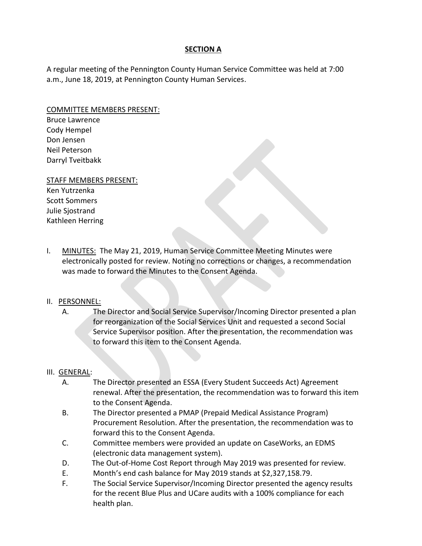### **SECTION A**

A regular meeting of the Pennington County Human Service Committee was held at 7:00 a.m., June 18, 2019, at Pennington County Human Services.

#### COMMITTEE MEMBERS PRESENT:

Bruce Lawrence Cody Hempel Don Jensen Neil Peterson Darryl Tveitbakk

#### STAFF MEMBERS PRESENT:

- Ken Yutrzenka Scott Sommers Julie Sjostrand Kathleen Herring
- I. MINUTES: The May 21, 2019, Human Service Committee Meeting Minutes were electronically posted for review. Noting no corrections or changes, a recommendation was made to forward the Minutes to the Consent Agenda.

### II. PERSONNEL:

A. The Director and Social Service Supervisor/Incoming Director presented a plan for reorganization of the Social Services Unit and requested a second Social Service Supervisor position. After the presentation, the recommendation was to forward this item to the Consent Agenda.

### III. GENERAL:

- A. The Director presented an ESSA (Every Student Succeeds Act) Agreement renewal. After the presentation, the recommendation was to forward this item to the Consent Agenda.
- B. The Director presented a PMAP (Prepaid Medical Assistance Program) Procurement Resolution. After the presentation, the recommendation was to forward this to the Consent Agenda.
- C. Committee members were provided an update on CaseWorks, an EDMS (electronic data management system).
- D. The Out-of-Home Cost Report through May 2019 was presented for review.
- E. Month's end cash balance for May 2019 stands at \$2,327,158.79.
- F. The Social Service Supervisor/Incoming Director presented the agency results for the recent Blue Plus and UCare audits with a 100% compliance for each health plan.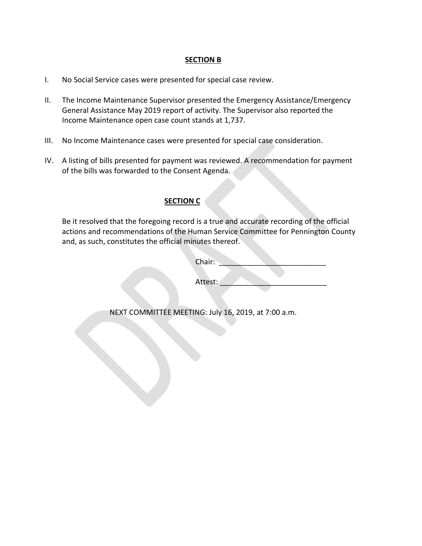#### **SECTION B**

- I. No Social Service cases were presented for special case review.
- II. The Income Maintenance Supervisor presented the Emergency Assistance/Emergency General Assistance May 2019 report of activity. The Supervisor also reported the Income Maintenance open case count stands at 1,737.
- III. No Income Maintenance cases were presented for special case consideration.
- IV. A listing of bills presented for payment was reviewed. A recommendation for payment of the bills was forwarded to the Consent Agenda.

### **SECTION C**

Be it resolved that the foregoing record is a true and accurate recording of the official actions and recommendations of the Human Service Committee for Pennington County and, as such, constitutes the official minutes thereof.

| Chair: |  |  |  |
|--------|--|--|--|
|        |  |  |  |

Attest:

NEXT COMMITTEE MEETING: July 16, 2019, at 7:00 a.m.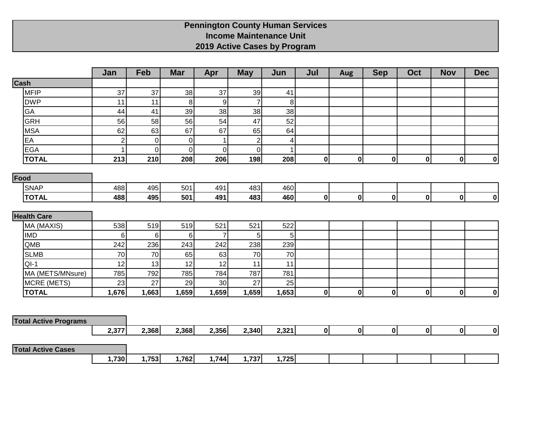### **Pennington County Human Services Income Maintenance Unit 2019 Active Cases by Program**

|                              | Jan            | Feb         | <b>Mar</b>     | Apr              | <b>May</b>     | Jun            | Jul          | <b>Aug</b>   | <b>Sep</b>   | Oct          | <b>Nov</b>   | <b>Dec</b> |
|------------------------------|----------------|-------------|----------------|------------------|----------------|----------------|--------------|--------------|--------------|--------------|--------------|------------|
| Cash                         |                |             |                |                  |                |                |              |              |              |              |              |            |
| <b>MFIP</b>                  | 37             | 37          | 38             | 37               | 39             | 41             |              |              |              |              |              |            |
| <b>DWP</b>                   | 11             | 11          | $\bf{8}$       | $\boldsymbol{9}$ | $\overline{7}$ | $\bf{8}$       |              |              |              |              |              |            |
| GA                           | 44             | 41          | 39             | 38               | 38             | 38             |              |              |              |              |              |            |
| <b>GRH</b>                   | 56             | 58          | 56             | 54               | 47             | 52             |              |              |              |              |              |            |
| <b>MSA</b>                   | 62             | 63          | 67             | 67               | 65             | 64             |              |              |              |              |              |            |
| EA                           | $\overline{2}$ | 0           | $\pmb{0}$      | $\mathbf{1}$     | $\overline{2}$ | 4              |              |              |              |              |              |            |
| <b>EGA</b>                   | 1              | $\mathbf 0$ | $\overline{0}$ | $\overline{0}$   | $\pmb{0}$      | 1              |              |              |              |              |              |            |
| <b>TOTAL</b>                 | 213            | 210         | 208            | 206              | 198            | 208            | $\mathbf{0}$ | $\mathbf{0}$ | $\mathbf 0$  | 0            | $\mathbf{0}$ | 0          |
| Food                         |                |             |                |                  |                |                |              |              |              |              |              |            |
| <b>SNAP</b>                  | 488            | 495         | 501            | 491              | 483            | 460            |              |              |              |              |              |            |
| <b>TOTAL</b>                 | 488            | 495         | 501            | 491              | 483            | 460            | 0            | $\mathbf{0}$ | $\mathbf 0$  | 0            | 0            | 0          |
|                              |                |             |                |                  |                |                |              |              |              |              |              |            |
| <b>Health Care</b>           |                |             |                |                  |                |                |              |              |              |              |              |            |
| MA (MAXIS)                   | 538            | 519         | 519            | 521              | 521            | 522            |              |              |              |              |              |            |
| <b>IMD</b>                   | 6              | $\,6$       | $\,6$          | $\overline{7}$   | $\overline{5}$ | 5 <sup>1</sup> |              |              |              |              |              |            |
| QMB                          | 242            | 236         | 243            | 242              | 238            | 239            |              |              |              |              |              |            |
| <b>SLMB</b>                  | 70             | 70          | 65             | 63               | 70             | 70             |              |              |              |              |              |            |
| $QI-1$                       | 12             | 13          | 12             | 12               | 11             | 11             |              |              |              |              |              |            |
| MA (METS/MNsure)             | 785            | 792         | 785            | 784              | 787            | 781            |              |              |              |              |              |            |
| MCRE (METS)                  | 23             | 27          | 29             | 30               | 27             | 25             |              |              |              |              |              |            |
| <b>TOTAL</b>                 | 1,676          | 1,663       | 1,659          | 1,659            | 1,659          | 1,653          | $\mathbf{0}$ | $\mathbf{0}$ | $\mathbf 0$  | 0            | 0            | 0          |
|                              |                |             |                |                  |                |                |              |              |              |              |              |            |
|                              |                |             |                |                  |                |                |              |              |              |              |              |            |
| <b>Total Active Programs</b> |                |             |                |                  |                |                |              |              |              |              |              |            |
|                              | 2,377          | 2,368       | 2,368          | 2,356            | 2,340          | 2,321          | $\mathbf{0}$ | $\mathbf{0}$ | $\mathbf{0}$ | $\mathbf{0}$ | $\mathbf{0}$ | 0          |
| <b>Total Active Cases</b>    |                |             |                |                  |                |                |              |              |              |              |              |            |
|                              | 1,730          | 1,753       | 1,762          | 1,744            | 1,737          | 1,725          |              |              |              |              |              |            |
|                              |                |             |                |                  |                |                |              |              |              |              |              |            |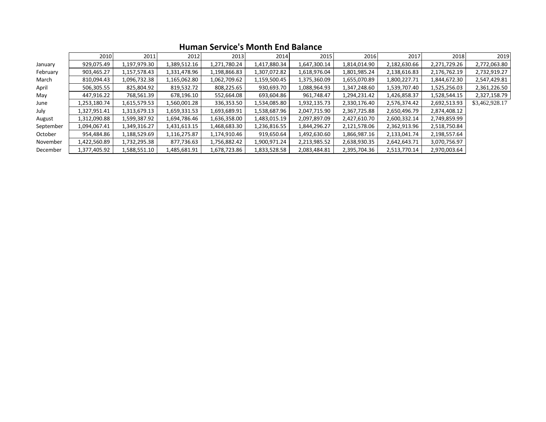|           | 2010         | 2011         | 2012         | 2013         | 2014         | 2015         | 2016         | 2017         | 2018         | 2019           |
|-----------|--------------|--------------|--------------|--------------|--------------|--------------|--------------|--------------|--------------|----------------|
| January   | 929,075.49   | 1,197,979.30 | 1,389,512.16 | 1,271,780.24 | 1,417,880.34 | 1,647,300.14 | 1,814,014.90 | 2,182,630.66 | 2,271,729.26 | 2,772,063.80   |
| February  | 903,465.27   | 1,157,578.43 | 1,331,478.96 | 1,198,866.83 | 1,307,072.82 | 1,618,976.04 | 1,801,985.24 | 2,138,616.83 | 2,176,762.19 | 2,732,919.27   |
| March     | 810,094.43   | 1,096,732.38 | 1,165,062.80 | 1,062,709.62 | 1,159,500.45 | L,375,360.09 | 1,655,070.89 | 1,800,227.71 | 1,844,672.30 | 2,547,429.81   |
| April     | 506,305.55   | 825,804.92   | 819,532.72   | 808,225.65   | 930,693.70   | L,088,964.93 | 1,347,248.60 | 1,539,707.40 | 1,525,256.03 | 2,361,226.50   |
| May       | 447,916.22   | 768,561.39   | 678,196.10   | 552,664.08   | 693,604.86   | 961,748.47   | 1,294,231.42 | 1,426,858.37 | 1,528,544.15 | 2,327,158.79   |
| June      | 1,253,180.74 | 1,615,579.53 | 1,560,001.28 | 336,353.50   | 1,534,085.80 | 1,932,135.73 | 2,330,176.40 | 2,576,374.42 | 2,692,513.93 | \$3,462,928.17 |
| July      | 1,327,951.41 | 1,313,679.13 | 1,659,331.53 | 1,693,689.91 | 1,538,687.96 | 2,047,715.90 | 2,367,725.88 | 2,650,496.79 | 2,874,408.12 |                |
| August    | 1,312,090.88 | 1,599,387.92 | 1,694,786.46 | 1,636,358.00 | 1,483,015.19 | 2,097,897.09 | 2,427,610.70 | 2,600,332.14 | 2,749,859.99 |                |
| September | 1,094,067.41 | 1,349,316.27 | 1,431,613.15 | 1,468,683.30 | 1,236,816.55 | 1,844,296.27 | 2,121,578.06 | 2,362,913.96 | 2,518,750.84 |                |
| October   | 954,484.86   | 1,188,529.69 | 1,116,275.87 | 1,174,910.46 | 919,650.64   | 1,492,630.60 | 1,866,987.16 | 2,133,041.74 | 2,198,557.64 |                |
| November  | 1,422,560.89 | 1,732,295.38 | 877,736.63   | 1,756,882.42 | 1,900,971.24 | 2,213,985.52 | 2,638,930.35 | 2,642,643.71 | 3,070,756.97 |                |
| December  | 1,377,405.92 | 1,588,551.10 | 1,485,681.91 | 1,678,723.86 | 1,833,528.58 | 2,083,484.81 | 2,395,704.36 | 2,513,770.14 | 2,970,003.64 |                |

### **Human Service's Month End Balance**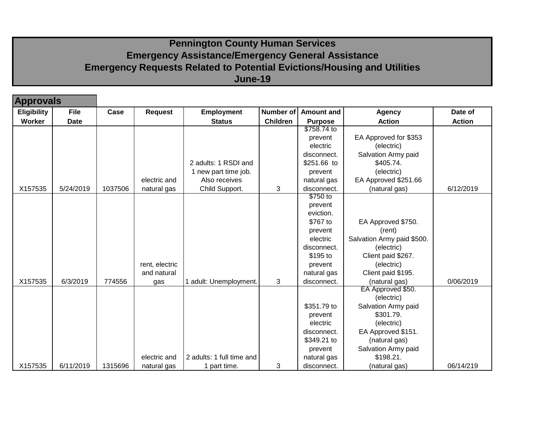# **Pennington County Human Services Emergency Assistance/Emergency General Assistance Emergency Requests Related to Potential Evictions/Housing and Utilities June-19**

| <b>Approvals</b>   |             |         |                |                           |                  |                   |                            |               |
|--------------------|-------------|---------|----------------|---------------------------|------------------|-------------------|----------------------------|---------------|
| <b>Eligibility</b> | <b>File</b> | Case    | <b>Request</b> | <b>Employment</b>         | <b>Number of</b> | <b>Amount and</b> | <b>Agency</b>              | Date of       |
| Worker             | <b>Date</b> |         |                | <b>Status</b>             | <b>Children</b>  | <b>Purpose</b>    | <b>Action</b>              | <b>Action</b> |
|                    |             |         |                |                           |                  | \$758.74 to       |                            |               |
|                    |             |         |                |                           |                  | prevent           | EA Approved for \$353      |               |
|                    |             |         |                |                           |                  | electric          | (electric)                 |               |
|                    |             |         |                |                           |                  | disconnect.       | Salvation Army paid        |               |
|                    |             |         |                | 2 adults: 1 RSDI and      |                  | \$251.66 to       | \$405.74.                  |               |
|                    |             |         |                | 1 new part time job.      |                  | prevent           | (electric)                 |               |
|                    |             |         | electric and   | Also receives             |                  | natural gas       | EA Approved \$251.66       |               |
| X157535            | 5/24/2019   | 1037506 | natural gas    | Child Support.            | 3                | disconnect.       | (natural gas)              | 6/12/2019     |
|                    |             |         |                |                           |                  | \$750 to          |                            |               |
|                    |             |         |                |                           |                  | prevent           |                            |               |
|                    |             |         |                |                           |                  | eviction.         |                            |               |
|                    |             |         |                |                           |                  | \$767 to          | EA Approved \$750.         |               |
|                    |             |         |                |                           |                  | prevent           | (rent)                     |               |
|                    |             |         |                |                           |                  | electric          | Salvation Army paid \$500. |               |
|                    |             |         |                |                           |                  | disconnect.       | (electric)                 |               |
|                    |             |         |                |                           |                  | \$195 to          | Client paid \$267.         |               |
|                    |             |         | rent, electric |                           |                  | prevent           | (electric)                 |               |
|                    |             |         | and natural    |                           |                  | natural gas       | Client paid \$195.         |               |
| X157535            | 6/3/2019    | 774556  | gas            | adult: Unemployment.      | 3                | disconnect.       | (natural gas)              | 0/06/2019     |
|                    |             |         |                |                           |                  |                   | EA Approved \$50.          |               |
|                    |             |         |                |                           |                  |                   | (electric)                 |               |
|                    |             |         |                |                           |                  | \$351.79 to       | Salvation Army paid        |               |
|                    |             |         |                |                           |                  | prevent           | \$301.79.                  |               |
|                    |             |         |                |                           |                  | electric          | (electric)                 |               |
|                    |             |         |                |                           |                  | disconnect.       | EA Approved \$151.         |               |
|                    |             |         |                |                           |                  | \$349.21 to       | (natural gas)              |               |
|                    |             |         |                |                           |                  | prevent           | Salvation Army paid        |               |
|                    |             |         | electric and   | 2 adults: 1 full time and |                  | natural gas       | \$198.21.                  |               |
| X157535            | 6/11/2019   | 1315696 | natural gas    | 1 part time.              | 3                | disconnect.       | (natural gas)              | 06/14/219     |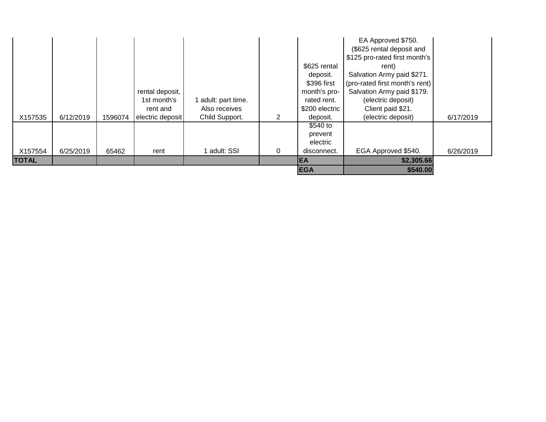|              |           |         |                  |                   |   | <b>EGA</b>          | \$540.00                       |           |
|--------------|-----------|---------|------------------|-------------------|---|---------------------|--------------------------------|-----------|
| <b>TOTAL</b> |           |         |                  |                   |   | EA                  | \$2,305.66                     |           |
| X157554      | 6/25/2019 | 65462   | rent             | adult: SSI        | 0 | disconnect.         | EGA Approved \$540.            | 6/26/2019 |
|              |           |         |                  |                   |   | electric            |                                |           |
|              |           |         |                  |                   |   | \$540 to<br>prevent |                                |           |
| X157535      | 6/12/2019 | 1596074 | electric deposit | Child Support.    |   | deposit.            | (electric deposit)             | 6/17/2019 |
|              |           |         | rent and         | Also receives     |   | \$200 electric      | Client paid \$21.              |           |
|              |           |         | 1st month's      | adult: part time. |   | rated rent.         | (electric deposit)             |           |
|              |           |         | rental deposit,  |                   |   | month's pro-        | Salvation Army paid \$179.     |           |
|              |           |         |                  |                   |   | \$396 first         | (pro-rated first month's rent) |           |
|              |           |         |                  |                   |   | deposit.            | Salvation Army paid \$271.     |           |
|              |           |         |                  |                   |   | \$625 rental        | rent)                          |           |
|              |           |         |                  |                   |   |                     | \$125 pro-rated first month's  |           |
|              |           |         |                  |                   |   |                     | (\$625 rental deposit and      |           |
|              |           |         |                  |                   |   |                     | EA Approved \$750.             |           |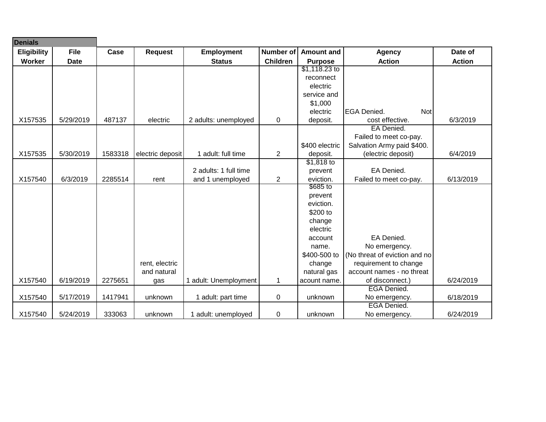| <b>Denials</b> |             |         |                  |                       |                 |                                    |                               |               |
|----------------|-------------|---------|------------------|-----------------------|-----------------|------------------------------------|-------------------------------|---------------|
| Eligibility    | <b>File</b> | Case    | <b>Request</b>   | <b>Employment</b>     | Number of       | <b>Amount and</b><br><b>Agency</b> |                               | Date of       |
| Worker         | <b>Date</b> |         |                  | <b>Status</b>         | <b>Children</b> | <b>Purpose</b>                     | <b>Action</b>                 | <b>Action</b> |
|                |             |         |                  |                       |                 | $$1,118.23$ to                     |                               |               |
|                |             |         |                  |                       |                 | reconnect                          |                               |               |
|                |             |         |                  |                       |                 | electric                           |                               |               |
|                |             |         |                  |                       |                 | service and                        |                               |               |
|                |             |         |                  |                       |                 | \$1,000                            |                               |               |
|                |             |         |                  |                       |                 | electric                           | <b>EGA Denied.</b><br>Not     |               |
| X157535        | 5/29/2019   | 487137  | electric         | 2 adults: unemployed  | $\mathbf 0$     | deposit.                           | cost effective.               | 6/3/2019      |
|                |             |         |                  |                       |                 |                                    | EA Denied.                    |               |
|                |             |         |                  |                       |                 |                                    | Failed to meet co-pay.        |               |
|                |             |         |                  |                       |                 | \$400 electric                     | Salvation Army paid \$400.    |               |
| X157535        | 5/30/2019   | 1583318 | electric deposit | 1 adult: full time    | $\overline{c}$  | deposit.                           | (electric deposit)            | 6/4/2019      |
|                |             |         |                  |                       |                 | $$1,818$ to                        |                               |               |
|                |             |         |                  | 2 adults: 1 full time |                 | prevent                            | EA Denied.                    |               |
| X157540        | 6/3/2019    | 2285514 | rent             | and 1 unemployed      | $\overline{2}$  | eviction.                          | Failed to meet co-pay.        | 6/13/2019     |
|                |             |         |                  |                       |                 | \$685 to                           |                               |               |
|                |             |         |                  |                       |                 | prevent                            |                               |               |
|                |             |         |                  |                       |                 | eviction.                          |                               |               |
|                |             |         |                  |                       |                 | \$200 to                           |                               |               |
|                |             |         |                  |                       |                 | change                             |                               |               |
|                |             |         |                  |                       |                 | electric                           |                               |               |
|                |             |         |                  |                       |                 | account                            | EA Denied.                    |               |
|                |             |         |                  |                       |                 | name.                              | No emergency.                 |               |
|                |             |         |                  |                       |                 | \$400-500 to                       | (No threat of eviction and no |               |
|                |             |         | rent, electric   |                       |                 | change                             | requirement to change         |               |
|                |             |         | and natural      |                       |                 | natural gas                        | account names - no threat     |               |
| X157540        | 6/19/2019   | 2275651 | gas              | 1 adult: Unemployment | $\mathbf{1}$    | acount name.                       | of disconnect.)               | 6/24/2019     |
|                |             |         |                  |                       |                 |                                    | <b>EGA Denied.</b>            |               |
| X157540        | 5/17/2019   | 1417941 | unknown          | 1 adult: part time    | 0               | unknown                            | No emergency.                 | 6/18/2019     |
|                |             |         |                  |                       |                 |                                    | <b>EGA Denied.</b>            |               |
| X157540        | 5/24/2019   | 333063  | unknown          | 1 adult: unemployed   | 0               | unknown                            | No emergency.                 | 6/24/2019     |